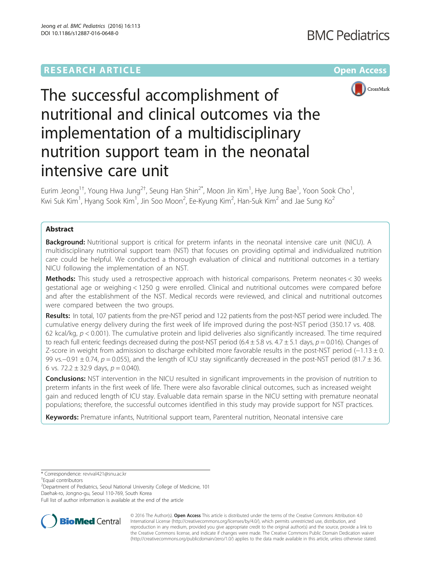# **RESEARCH ARTICLE Example 2014 12:30 The Company Access** (RESEARCH ARTICLE



# The successful accomplishment of nutritional and clinical outcomes via the implementation of a multidisciplinary nutrition support team in the neonatal intensive care unit

Eurim Jeong $^{1\dagger}$ , Young Hwa Jung $^{2\dagger}$ , Seung Han Shin $^{2^\star}$ , Moon Jin Kim $^1$ , Hye Jung Bae $^1$ , Yoon Sook Cho $^1$ , Kwi Suk Kim<sup>1</sup>, Hyang Sook Kim<sup>1</sup>, Jin Soo Moon<sup>2</sup>, Ee-Kyung Kim<sup>2</sup>, Han-Suk Kim<sup>2</sup> and Jae Sung Ko<sup>2</sup>

# Abstract

**Background:** Nutritional support is critical for preterm infants in the neonatal intensive care unit (NICU). A multidisciplinary nutritional support team (NST) that focuses on providing optimal and individualized nutrition care could be helpful. We conducted a thorough evaluation of clinical and nutritional outcomes in a tertiary NICU following the implementation of an NST.

Methods: This study used a retrospective approach with historical comparisons. Preterm neonates < 30 weeks gestational age or weighing < 1250 g were enrolled. Clinical and nutritional outcomes were compared before and after the establishment of the NST. Medical records were reviewed, and clinical and nutritional outcomes were compared between the two groups.

Results: In total, 107 patients from the pre-NST period and 122 patients from the post-NST period were included. The cumulative energy delivery during the first week of life improved during the post-NST period (350.17 vs. 408. 62 kcal/kg,  $p < 0.001$ ). The cumulative protein and lipid deliveries also significantly increased. The time required to reach full enteric feedings decreased during the post-NST period  $(6.4 \pm 5.8 \text{ vs. } 4.7 \pm 5.1 \text{ days}, p = 0.016)$ . Changes of Z-score in weight from admission to discharge exhibited more favorable results in the post-NST period (−1.13 ± 0. 99 vs.−0.91 ± 0.74, p = 0.055), and the length of ICU stay significantly decreased in the post-NST period (81.7 ± 36. 6 vs. 72.2  $\pm$  32.9 days,  $p = 0.040$ ).

**Conclusions:** NST intervention in the NICU resulted in significant improvements in the provision of nutrition to preterm infants in the first week of life. There were also favorable clinical outcomes, such as increased weight gain and reduced length of ICU stay. Evaluable data remain sparse in the NICU setting with premature neonatal populations; therefore, the successful outcomes identified in this study may provide support for NST practices.

Keywords: Premature infants, Nutritional support team, Parenteral nutrition, Neonatal intensive care

<sup>2</sup> Department of Pediatrics, Seoul National University College of Medicine, 101 Daehak-ro, Jongno-gu, Seoul 110-769, South Korea

Full list of author information is available at the end of the article



© 2016 The Author(s). Open Access This article is distributed under the terms of the Creative Commons Attribution 4.0 International License [\(http://creativecommons.org/licenses/by/4.0/](http://creativecommons.org/licenses/by/4.0/)), which permits unrestricted use, distribution, and reproduction in any medium, provided you give appropriate credit to the original author(s) and the source, provide a link to the Creative Commons license, and indicate if changes were made. The Creative Commons Public Domain Dedication waiver [\(http://creativecommons.org/publicdomain/zero/1.0/](http://creativecommons.org/publicdomain/zero/1.0/)) applies to the data made available in this article, unless otherwise stated.

<sup>\*</sup> Correspondence: [revival421@snu.ac.kr](mailto:revival421@snu.ac.kr) †

Equal contributors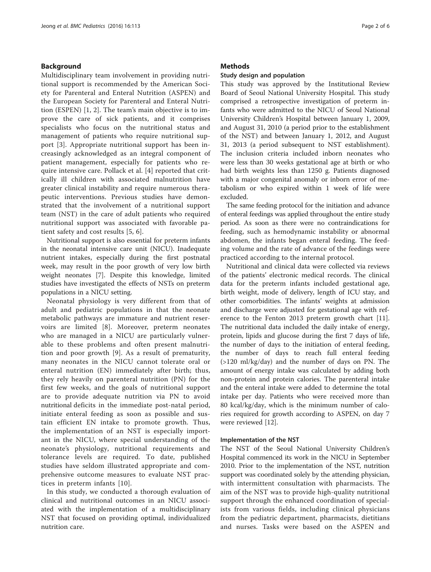## Background

Multidisciplinary team involvement in providing nutritional support is recommended by the American Society for Parenteral and Enteral Nutrition (ASPEN) and the European Society for Parenteral and Enteral Nutrition (ESPEN) [[1, 2](#page-5-0)]. The team's main objective is to improve the care of sick patients, and it comprises specialists who focus on the nutritional status and management of patients who require nutritional support [[3\]](#page-5-0). Appropriate nutritional support has been increasingly acknowledged as an integral component of patient management, especially for patients who require intensive care. Pollack et al. [[4\]](#page-5-0) reported that critically ill children with associated malnutrition have greater clinical instability and require numerous therapeutic interventions. Previous studies have demonstrated that the involvement of a nutritional support team (NST) in the care of adult patients who required nutritional support was associated with favorable patient safety and cost results [[5, 6](#page-5-0)].

Nutritional support is also essential for preterm infants in the neonatal intensive care unit (NICU). Inadequate nutrient intakes, especially during the first postnatal week, may result in the poor growth of very low birth weight neonates [\[7](#page-5-0)]. Despite this knowledge, limited studies have investigated the effects of NSTs on preterm populations in a NICU setting.

Neonatal physiology is very different from that of adult and pediatric populations in that the neonate metabolic pathways are immature and nutrient reservoirs are limited [\[8](#page-5-0)]. Moreover, preterm neonates who are managed in a NICU are particularly vulnerable to these problems and often present malnutrition and poor growth [[9\]](#page-5-0). As a result of prematurity, many neonates in the NICU cannot tolerate oral or enteral nutrition (EN) immediately after birth; thus, they rely heavily on parenteral nutrition (PN) for the first few weeks, and the goals of nutritional support are to provide adequate nutrition via PN to avoid nutritional deficits in the immediate post-natal period, initiate enteral feeding as soon as possible and sustain efficient EN intake to promote growth. Thus, the implementation of an NST is especially important in the NICU, where special understanding of the neonate's physiology, nutritional requirements and tolerance levels are required. To date, published studies have seldom illustrated appropriate and comprehensive outcome measures to evaluate NST practices in preterm infants [\[10\]](#page-5-0).

In this study, we conducted a thorough evaluation of clinical and nutritional outcomes in an NICU associated with the implementation of a multidisciplinary NST that focused on providing optimal, individualized nutrition care.

## **Methods**

## Study design and population

This study was approved by the Institutional Review Board of Seoul National University Hospital. This study comprised a retrospective investigation of preterm infants who were admitted to the NICU of Seoul National University Children's Hospital between January 1, 2009, and August 31, 2010 (a period prior to the establishment of the NST) and between January 1, 2012, and August 31, 2013 (a period subsequent to NST establishment). The inclusion criteria included inborn neonates who were less than 30 weeks gestational age at birth or who had birth weights less than 1250 g. Patients diagnosed with a major congenital anomaly or inborn error of metabolism or who expired within 1 week of life were excluded.

The same feeding protocol for the initiation and advance of enteral feedings was applied throughout the entire study period. As soon as there were no contraindications for feeding, such as hemodynamic instability or abnormal abdomen, the infants began enteral feeding. The feeding volume and the rate of advance of the feedings were practiced according to the internal protocol.

Nutritional and clinical data were collected via reviews of the patients' electronic medical records. The clinical data for the preterm infants included gestational age, birth weight, mode of delivery, length of ICU stay, and other comorbidities. The infants' weights at admission and discharge were adjusted for gestational age with reference to the Fenton 2013 preterm growth chart [\[11](#page-5-0)]. The nutritional data included the daily intake of energy, protein, lipids and glucose during the first 7 days of life, the number of days to the initiation of enteral feeding, the number of days to reach full enteral feeding (>120 ml/kg/day) and the number of days on PN. The amount of energy intake was calculated by adding both non-protein and protein calories. The parenteral intake and the enteral intake were added to determine the total intake per day. Patients who were received more than 80 kcal/kg/day, which is the minimum number of calories required for growth according to ASPEN, on day 7 were reviewed [\[12\]](#page-5-0).

## Implementation of the NST

The NST of the Seoul National University Children's Hospital commenced its work in the NICU in September 2010. Prior to the implementation of the NST, nutrition support was coordinated solely by the attending physician, with intermittent consultation with pharmacists. The aim of the NST was to provide high-quality nutritional support through the enhanced coordination of specialists from various fields, including clinical physicians from the pediatric department, pharmacists, dietitians and nurses. Tasks were based on the ASPEN and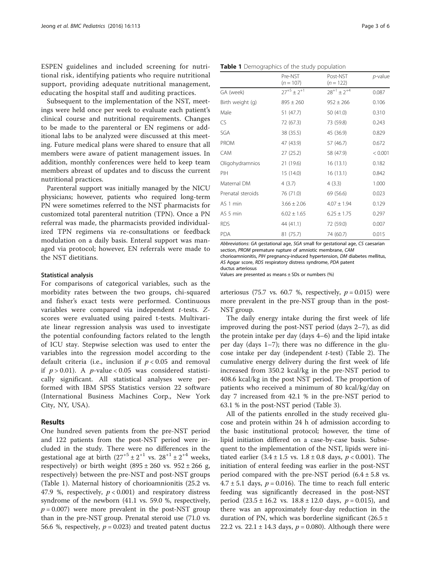ESPEN guidelines and included screening for nutritional risk, identifying patients who require nutritional support, providing adequate nutritional management, educating the hospital staff and auditing practices.

Subsequent to the implementation of the NST, meetings were held once per week to evaluate each patient's clinical course and nutritional requirements. Changes to be made to the parenteral or EN regimens or additional labs to be analyzed were discussed at this meeting. Future medical plans were shared to ensure that all members were aware of patient management issues. In addition, monthly conferences were held to keep team members abreast of updates and to discuss the current nutritional practices.

Parenteral support was initially managed by the NICU physicians; however, patients who required long-term PN were sometimes referred to the NST pharmacists for customized total parenteral nutrition (TPN). Once a PN referral was made, the pharmacists provided individualized TPN regimens via re-consultations or feedback modulation on a daily basis. Enteral support was managed via protocol; however, EN referrals were made to the NST dietitians.

#### Statistical analysis

For comparisons of categorical variables, such as the morbidity rates between the two groups, chi-squared and fisher's exact tests were performed. Continuous variables were compared via independent t-tests. Zscores were evaluated using paired t-tests. Multivariate linear regression analysis was used to investigate the potential confounding factors related to the length of ICU stay. Stepwise selection was used to enter the variables into the regression model according to the default criteria (i.e., inclusion if  $p < 0.05$  and removal if  $p > 0.01$ ). A p-value < 0.05 was considered statistically significant. All statistical analyses were performed with IBM SPSS Statistics version 22 software (International Business Machines Corp., New York City, NY, USA).

## Results

One hundred seven patients from the pre-NST period and 122 patients from the post-NST period were included in the study. There were no differences in the gestational age at birth  $(27^{+5} \pm 2^{+1} \text{ vs. } 28^{+1} \pm 2^{+4} \text{ weeks},$ respectively) or birth weight  $(895 \pm 260 \text{ vs. } 952 \pm 266 \text{ g},$ respectively) between the pre-NST and post-NST groups (Table 1). Maternal history of chorioamnionitis (25.2 vs. 47.9 %, respectively,  $p < 0.001$ ) and respiratory distress syndrome of the newborn (41.1 vs. 59.0 %, respectively,  $p = 0.007$ ) were more prevalent in the post-NST group than in the pre-NST group. Prenatal steroid use (71.0 vs. 56.6 %, respectively,  $p = 0.023$ ) and treated patent ductus

|                   | Pre-NST<br>$(n = 107)$ | Post-NST<br>$(n = 122)$ | <i>p</i> -value |
|-------------------|------------------------|-------------------------|-----------------|
| GA (week)         | $27^{+5} + 2^{+1}$     | $28^{+1} + 2^{+4}$      | 0.087           |
| Birth weight (g)  | $895 \pm 260$          | $952 \pm 266$           | 0.106           |
| Male              | 51 (47.7)              | 50 (41.0)               | 0.310           |
| CS                | 72 (67.3)              | 73 (59.8)               | 0.243           |
| SGA               | 38 (35.5)              | 45 (36.9)               | 0.829           |
| <b>PROM</b>       | 47 (43.9)              | 57 (46.7)               | 0.672           |
| <b>CAM</b>        | 27(25.2)               | 58 (47.9)               | < 0.001         |
| Oligohydramnios   | 21 (19.6)              | 16(13.1)                | 0.182           |
| PIH               | 15 (14.0)              | 16(13.1)                | 0.842           |
| Maternal DM       | 4(3.7)                 | 4(3.3)                  | 1.000           |
| Prenatal steroids | 76 (71.0)              | 69 (56.6)               | 0.023           |
| AS 1 min          | $3.66 \pm 2.06$        | $4.07 \pm 1.94$         | 0.129           |
| AS 5 min          | $6.02 \pm 1.65$        | $6.25 \pm 1.75$         | 0.297           |
| <b>RDS</b>        | 44 (41.1)              | 72 (59.0)               | 0.007           |
| PDA               | 81 (75.7)              | 74 (60.7)               | 0.015           |

Abbreviations: GA gestational age, SGA small for gestational age, CS caesarian section, PROM premature rupture of amniotic membrane, CAM chorioamnionitis, PIH pregnancy-induced hypertension, DM diabetes mellitus, AS Apgar score, RDS respiratory distress syndrome, PDA patent

ductus arteriosus

Values are presented as means  $\pm$  SDs or numbers (%)

arteriosus (75.7 vs. 60.7 %, respectively,  $p = 0.015$ ) were more prevalent in the pre-NST group than in the post-NST group.

The daily energy intake during the first week of life improved during the post-NST period (days 2–7), as did the protein intake per day (days 4–6) and the lipid intake per day (days 1–7); there was no difference in the glucose intake per day (independent  $t$ -test) (Table [2\)](#page-3-0). The cumulative energy delivery during the first week of life increased from 350.2 kcal/kg in the pre-NST period to 408.6 kcal/kg in the post NST period. The proportion of patients who received a minimum of 80 kcal/kg/day on day 7 increased from 42.1 % in the pre-NST period to 63.1 % in the post-NST period (Table [3](#page-3-0)).

All of the patients enrolled in the study received glucose and protein within 24 h of admission according to the basic institutional protocol; however, the time of lipid initiation differed on a case-by-case basis. Subsequent to the implementation of the NST, lipids were initiated earlier  $(3.4 \pm 1.5 \text{ vs. } 1.8 \pm 0.8 \text{ days}, p < 0.001)$ . The initiation of enteral feeding was earlier in the post-NST period compared with the pre-NST period  $(6.4 \pm 5.8 \text{ vs.})$  $4.7 \pm 5.1$  days,  $p = 0.016$ ). The time to reach full enteric feeding was significantly decreased in the post-NST period  $(23.5 \pm 16.2 \text{ vs. } 18.8 \pm 12.0 \text{ days}, p = 0.015)$ , and there was an approximately four-day reduction in the duration of PN, which was borderline significant (26.5  $\pm$ 22.2 vs. 22.1  $\pm$  14.3 days,  $p = 0.080$ ). Although there were

Table 1 Demographics of the study population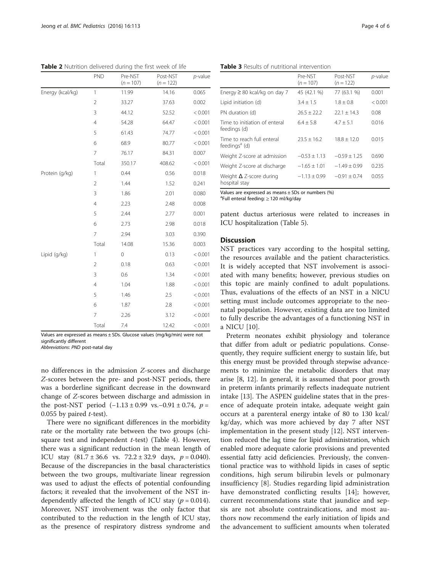Values are expressed as means  $\pm$  SDs. Glucose values (mg/kg/min) were not significantly different

Abbreviations: PND post-natal day

no differences in the admission Z-scores and discharge Z-scores between the pre- and post-NST periods, there was a borderline significant decrease in the downward change of Z-scores between discharge and admission in the post-NST period  $(-1.13 \pm 0.99 \text{ vs.} -0.91 \pm 0.74, p =$ 0.055 by paired  $t$ -test).

There were no significant differences in the morbidity rate or the mortality rate between the two groups (chisquare test and independent  $t$ -test) (Table [4](#page-4-0)). However, there was a significant reduction in the mean length of ICU stay  $(81.7 \pm 36.6 \text{ vs. } 72.2 \pm 32.9 \text{ days}, p = 0.040).$ Because of the discrepancies in the basal characteristics between the two groups, multivariate linear regression was used to adjust the effects of potential confounding factors; it revealed that the involvement of the NST independently affected the length of ICU stay ( $p = 0.014$ ). Moreover, NST involvement was the only factor that contributed to the reduction in the length of ICU stay, as the presence of respiratory distress syndrome and patent ductus arteriosus were related to increases in

## **Discussion**

ICU hospitalization (Table [5\)](#page-4-0).

a Full enteral feeding: ≥ 120 ml/kg/day

Values are expressed as means ± SDs or numbers (%)

NST practices vary according to the hospital setting, the resources available and the patient characteristics. It is widely accepted that NST involvement is associated with many benefits; however, previous studies on this topic are mainly confined to adult populations. Thus, evaluations of the effects of an NST in a NICU setting must include outcomes appropriate to the neonatal population. However, existing data are too limited to fully describe the advantages of a functioning NST in a NICU [\[10](#page-5-0)].

Preterm neonates exhibit physiology and tolerance that differ from adult or pediatric populations. Consequently, they require sufficient energy to sustain life, but this energy must be provided through stepwise advancements to minimize the metabolic disorders that may arise [[8](#page-5-0), [12](#page-5-0)]. In general, it is assumed that poor growth in preterm infants primarily reflects inadequate nutrient intake [[13](#page-5-0)]. The ASPEN guideline states that in the presence of adequate protein intake, adequate weight gain occurs at a parenteral energy intake of 80 to 130 kcal/ kg/day, which was more achieved by day 7 after NST implementation in the present study [[12\]](#page-5-0). NST intervention reduced the lag time for lipid administration, which enabled more adequate calorie provisions and prevented essential fatty acid deficiencies. Previously, the conventional practice was to withhold lipids in cases of septic conditions, high serum bilirubin levels or pulmonary insufficiency [[8\]](#page-5-0). Studies regarding lipid administration have demonstrated conflicting results [\[14](#page-5-0)]; however, current recommendations state that jaundice and sepsis are not absolute contraindications, and most authors now recommend the early initiation of lipids and the advancement to sufficient amounts when tolerated

<span id="page-3-0"></span>Table 2 Nutrition delivered during the first week of life

|                  | PND            | Pre-NST<br>$(n = 107)$ | Post-NST<br>$(n = 122)$   | $p$ -value |
|------------------|----------------|------------------------|---------------------------|------------|
| Energy (kcal/kg) | $\mathbf{1}$   | 11.99                  | 14.16                     | 0.065      |
|                  | $\overline{2}$ | 33.27                  | 37.63                     | 0.002      |
|                  | 3              | 44.12                  | 52.52                     | < 0.001    |
|                  | $\overline{4}$ | 54.28                  | 64.47                     | < 0.001    |
|                  | 5              | 61.43                  | 74.77                     | < 0.001    |
|                  | 6              | 68.9                   | 80.77                     | < 0.001    |
|                  | 7              | 76.17                  | 84.31                     | 0.007      |
|                  | Total          | 350.17                 | 408.62                    | < 0.001    |
| Protein (g/kg)   | $\mathbf{1}$   | 0.44                   | 0.56                      | 0.018      |
|                  | $\overline{2}$ | 1.44                   | 1.52                      | 0.241      |
|                  | 3              | 1.86                   | 2.01                      | 0.080      |
|                  | 4              | 2.23                   | 2.48                      | 0.008      |
|                  | 5              | 2.44                   | 2.77                      | 0.001      |
|                  | 6              | 2.73                   | 2.98                      | 0.018      |
|                  | 7              | 2.94                   | 3.03                      | 0.390      |
|                  | Total          | 14.08                  | 15.36                     | 0.003      |
| Lipid (g/kg)     | 1              | $\mathbf 0$            | 0.13                      | < 0.001    |
|                  | $\overline{2}$ | 0.18                   | 0.63                      | < 0.001    |
|                  | 3              | 0.6                    | 1.34                      | < 0.001    |
|                  | 4              | 1.04                   | 1.88                      | < 0.001    |
|                  | 5              | 1.46                   | 2.5                       | < 0.001    |
|                  | 6              | 1.87                   | 2.8                       | < 0.001    |
|                  | 7              | 2.26                   | 3.12                      | < 0.001    |
|                  | Total          | 7.4                    | 12.42                     | < 0.001    |
| $1 - 1$          |                | $\sim$                 | $\sqrt{1-x}$ $\sqrt{1-x}$ |            |

Table 3 Results of nutritional intervention

|                                                         | Pre-NST<br>$(n = 107)$ | Post-NST<br>$(n = 122)$ | $p$ -value |
|---------------------------------------------------------|------------------------|-------------------------|------------|
| Energy $\geq 80$ kcal/kg on day 7                       | 45 (42.1 %)            | 77 (63.1 %)             | 0.001      |
| Lipid initiation (d)                                    | $3.4 + 1.5$            | $1.8 + 0.8$             | < 0.001    |
| PN duration (d)                                         | $76.5 + 72.2$          | $22.1 + 14.3$           | 0.08       |
| Time to initiation of enteral<br>feedings (d)           | $6.4 + 5.8$            | $4.7 + 5.1$             | 0.016      |
| Time to reach full enteral<br>feedings <sup>ª</sup> (d) | $23.5 + 16.2$          | $18.8 + 12.0$           | 0.015      |
| Weight Z-score at admission                             | $-0.53 + 1.13$         | $-0.59 + 1.25$          | 0.690      |
| Weight Z-score at discharge                             | $-1.65 + 1.01$         | $-1.49 + 0.99$          | 0.235      |
| Weight $\Delta$ Z-score during<br>hospital stay         | $-1.13 \pm 0.99$       | $-0.91 + 0.74$          | 0.055      |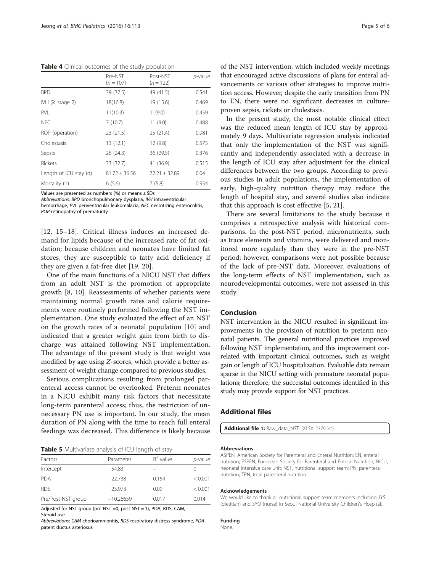<span id="page-4-0"></span>Table 4 Clinical outcomes of the study population

|                        | Pre-NST<br>$(n = 107)$ | Post-NST<br>$(n = 122)$ | p-value |
|------------------------|------------------------|-------------------------|---------|
| <b>BPD</b>             | 39 (37.5)              | 49 (41.5)               | 0.541   |
| IVH $(≥$ stage 2)      | 18(16.8)               | 19 (15.6)               | 0.469   |
| <b>PVI</b>             | 11(10.3)               | 11(9.0)                 | 0.459   |
| NFC.                   | 7(10.7)                | 11(9.0)                 | 0.488   |
| ROP (operation)        | 23 (21.5)              | 25(21.4)                | 0.981   |
| Cholestasis            | 13 (12.1)              | 12 (9.8)                | 0.575   |
| Sepsis                 | 26(24.3)               | 36 (29.5)               | 0.376   |
| Rickets                | 33 (32.7)              | 41 (36.9)               | 0.515   |
| Length of ICU stay (d) | $81.72 + 36.56$        | $72.21 + 32.89$         | 0.04    |
| Mortality (n)          | 6(5.6)                 | 7(5.8)                  | 0.954   |

Values are presented as numbers  $%$  or means  $\pm$  SDs

Abbreviations: BPD bronchopulmonary dysplasia, IVH intraventricular

hemorrhage, PVL periventricular leukomalacia, NEC necrotizing enterocolitis, ROP retinopathy of prematurity

[[12](#page-5-0), [15](#page-5-0)–[18](#page-5-0)]. Critical illness induces an increased demand for lipids because of the increased rate of fat oxidation; because children and neonates have limited fat stores, they are susceptible to fatty acid deficiency if they are given a fat-free diet [[19, 20](#page-5-0)].

One of the main functions of a NICU NST that differs from an adult NST is the promotion of appropriate growth [[8, 10](#page-5-0)]. Reassessments of whether patients were maintaining normal growth rates and calorie requirements were routinely performed following the NST implementation. One study evaluated the effect of an NST on the growth rates of a neonatal population [[10](#page-5-0)] and indicated that a greater weight gain from birth to discharge was attained following NST implementation. The advantage of the present study is that weight was modified by age using Z-scores, which provide a better assessment of weight change compared to previous studies.

Serious complications resulting from prolonged parenteral access cannot be overlooked. Preterm neonates in a NICU exhibit many risk factors that necessitate long-term parenteral access; thus, the restriction of unnecessary PN use is important. In our study, the mean duration of PN along with the time to reach full enteral feedings was decreased. This difference is likely because

|  | Table 5 Multivariate analysis of ICU length of stay |  |  |  |
|--|-----------------------------------------------------|--|--|--|
|--|-----------------------------------------------------|--|--|--|

| Factors            | Parameter   | $R^2$ value | $p$ -value |
|--------------------|-------------|-------------|------------|
| Intercept          | 54.831      |             |            |
| <b>PDA</b>         | 22.738      | 0.154       | < 0.001    |
| <b>RDS</b>         | 23.973      | 0.09        | < 0.001    |
| Pre/Post-NST group | $-10.26659$ | 0.017       | 0.014      |

Adjusted for NST group (pre-NST =0, post-NST = 1), PDA, RDS, CAM, Steroid use

Abbreviations: CAM chorioamnionitis, RDS respiratory distress syndrome, PDA patent ductus arteriosus

of the NST intervention, which included weekly meetings that encouraged active discussions of plans for enteral advancements or various other strategies to improve nutrition access. However, despite the early transition from PN to EN, there were no significant decreases in cultureproven sepsis, rickets or cholestasis.

In the present study, the most notable clinical effect was the reduced mean length of ICU stay by approximately 9 days. Multivariate regression analysis indicated that only the implementation of the NST was significantly and independently associated with a decrease in the length of ICU stay after adjustment for the clinical differences between the two groups. According to previous studies in adult populations, the implementation of early, high-quality nutrition therapy may reduce the length of hospital stay, and several studies also indicate that this approach is cost effective [[5, 21](#page-5-0)].

There are several limitations to the study because it comprises a retrospective analysis with historical comparisons. In the post-NST period, micronutrients, such as trace elements and vitamins, were delivered and monitored more regularly than they were in the pre-NST period; however, comparisons were not possible because of the lack of pre-NST data. Moreover, evaluations of the long-term effects of NST implementation, such as neurodevelopmental outcomes, were not assessed in this study.

## Conclusion

NST intervention in the NICU resulted in significant improvements in the provision of nutrition to preterm neonatal patients. The general nutritional practices improved following NST implementation, and this improvement correlated with important clinical outcomes, such as weight gain or length of ICU hospitalization. Evaluable data remain sparse in the NICU setting with premature neonatal populations; therefore, the successful outcomes identified in this study may provide support for NST practices.

## Additional files

[Additional file 1:](dx.doi.org/10.1186/s12887-016-0648-0) Raw\_data\_NST. (XLSX 2379 kb)

#### Abbreviations

ASPEN, American Society for Parenteral and Enteral Nutrition; EN, enteral nutrition; ESPEN, European Society for Parenteral and Enteral Nutrition; NICU, neonatal intensive care unit; NST, nutritional support team; PN, parenteral nutrition; TPN, total parenteral nutrition.

#### Acknowledgements

We would like to thank all nutritional support team members including JYS (dietitian) and SYO (nurse) in Seoul National University Children's Hospital.

## Funding

None.